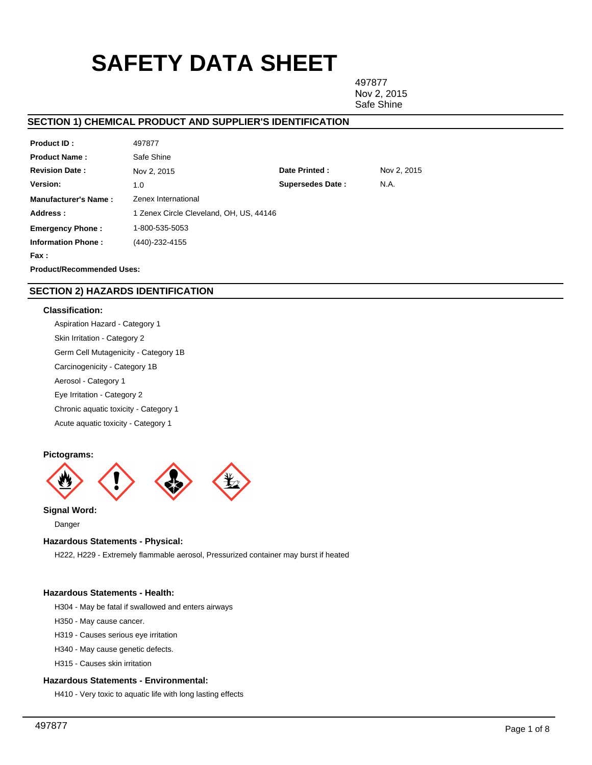# **SAFETY DATA SHEET**

497877 Nov 2, 2015 Safe Shine

# **SECTION 1) CHEMICAL PRODUCT AND SUPPLIER'S IDENTIFICATION**

| <b>Product ID:</b>               | 497877                                  |                         |             |  |
|----------------------------------|-----------------------------------------|-------------------------|-------------|--|
| <b>Product Name:</b>             | Safe Shine                              |                         |             |  |
| <b>Revision Date:</b>            | Nov 2, 2015                             | Date Printed:           | Nov 2, 2015 |  |
| Version:                         | 1.0                                     | <b>Supersedes Date:</b> | N.A.        |  |
| <b>Manufacturer's Name:</b>      | Zenex International                     |                         |             |  |
| Address:                         | 1 Zenex Circle Cleveland, OH, US, 44146 |                         |             |  |
| <b>Emergency Phone:</b>          | 1-800-535-5053                          |                         |             |  |
| <b>Information Phone:</b>        | (440)-232-4155                          |                         |             |  |
| Fax :                            |                                         |                         |             |  |
| <b>Product/Recommended Uses:</b> |                                         |                         |             |  |

# **SECTION 2) HAZARDS IDENTIFICATION**

### **Classification:**

Aspiration Hazard - Category 1 Skin Irritation - Category 2 Germ Cell Mutagenicity - Category 1B Carcinogenicity - Category 1B Aerosol - Category 1 Eye Irritation - Category 2 Chronic aquatic toxicity - Category 1 Acute aquatic toxicity - Category 1

### **Pictograms:**



Danger

### **Hazardous Statements - Physical:**

H222, H229 - Extremely flammable aerosol, Pressurized container may burst if heated

### **Hazardous Statements - Health:**

H304 - May be fatal if swallowed and enters airways

- H350 May cause cancer.
- H319 Causes serious eye irritation
- H340 May cause genetic defects.

H315 - Causes skin irritation

### **Hazardous Statements - Environmental:**

H410 - Very toxic to aquatic life with long lasting effects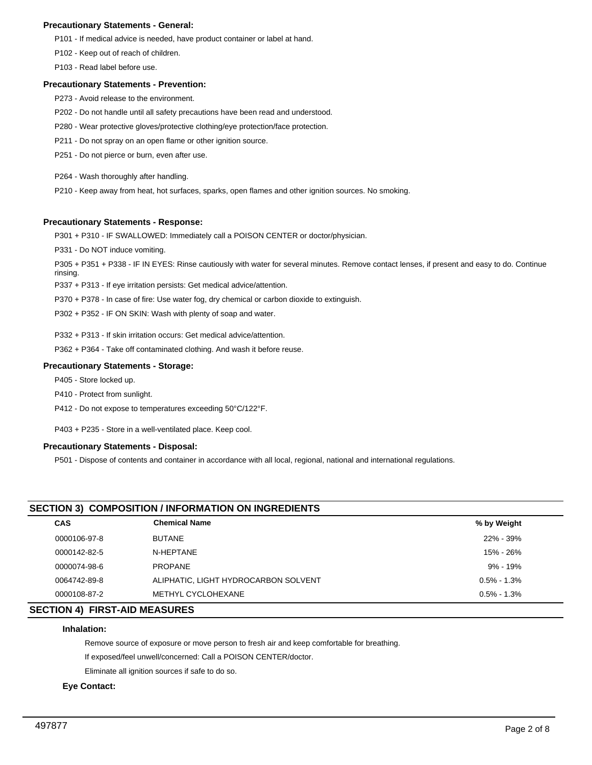### **Precautionary Statements - General:**

P101 - If medical advice is needed, have product container or label at hand.

P102 - Keep out of reach of children.

P103 - Read label before use.

### **Precautionary Statements - Prevention:**

- P273 Avoid release to the environment.
- P202 Do not handle until all safety precautions have been read and understood.
- P280 Wear protective gloves/protective clothing/eye protection/face protection.
- P211 Do not spray on an open flame or other ignition source.
- P251 Do not pierce or burn, even after use.
- P264 Wash thoroughly after handling.
- P210 Keep away from heat, hot surfaces, sparks, open flames and other ignition sources. No smoking.

### **Precautionary Statements - Response:**

P301 + P310 - IF SWALLOWED: Immediately call a POISON CENTER or doctor/physician.

P331 - Do NOT induce vomiting.

P305 + P351 + P338 - IF IN EYES: Rinse cautiously with water for several minutes. Remove contact lenses, if present and easy to do. Continue rinsing.

P337 + P313 - If eye irritation persists: Get medical advice/attention.

- P370 + P378 In case of fire: Use water fog, dry chemical or carbon dioxide to extinguish.
- P302 + P352 IF ON SKIN: Wash with plenty of soap and water.

P332 + P313 - If skin irritation occurs: Get medical advice/attention.

P362 + P364 - Take off contaminated clothing. And wash it before reuse.

### **Precautionary Statements - Storage:**

P405 - Store locked up.

- P410 Protect from sunlight.
- P412 Do not expose to temperatures exceeding 50°C/122°F.

P403 + P235 - Store in a well-ventilated place. Keep cool.

### **Precautionary Statements - Disposal:**

P501 - Dispose of contents and container in accordance with all local, regional, national and international regulations.

# **SECTION 3) COMPOSITION / INFORMATION ON INGREDIENTS**

| <b>CAS</b>   | <b>Chemical Name</b>                 | % by Weight     |
|--------------|--------------------------------------|-----------------|
| 0000106-97-8 | <b>BUTANE</b>                        | 22% - 39%       |
| 0000142-82-5 | N-HEPTANE                            | 15% - 26%       |
| 0000074-98-6 | <b>PROPANE</b>                       | $9\% - 19\%$    |
| 0064742-89-8 | ALIPHATIC, LIGHT HYDROCARBON SOLVENT | $0.5\%$ - 1.3%  |
| 0000108-87-2 | METHYL CYCLOHEXANE                   | $0.5\% - 1.3\%$ |
|              |                                      |                 |

# **SECTION 4) FIRST-AID MEASURES**

### **Inhalation:**

Remove source of exposure or move person to fresh air and keep comfortable for breathing.

If exposed/feel unwell/concerned: Call a POISON CENTER/doctor.

Eliminate all ignition sources if safe to do so.

### **Eye Contact:**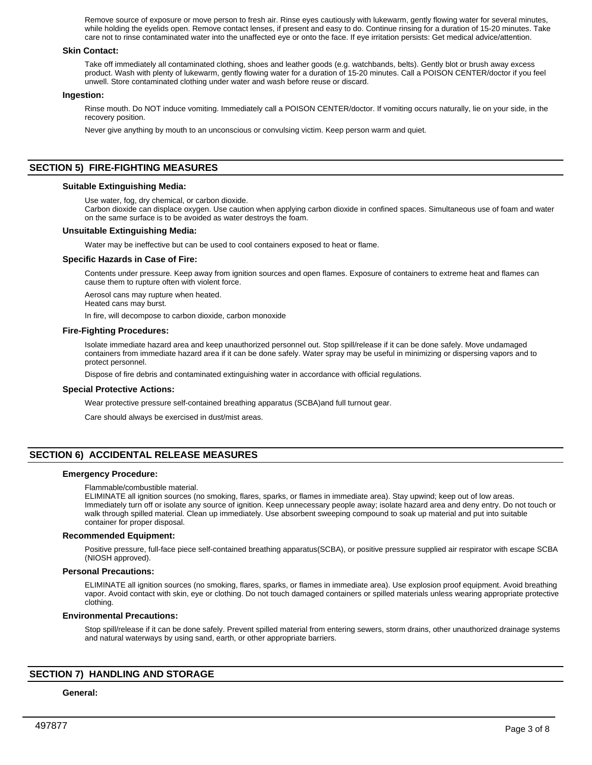Remove source of exposure or move person to fresh air. Rinse eyes cautiously with lukewarm, gently flowing water for several minutes, while holding the eyelids open. Remove contact lenses, if present and easy to do. Continue rinsing for a duration of 15-20 minutes. Take care not to rinse contaminated water into the unaffected eye or onto the face. If eye irritation persists: Get medical advice/attention.

### **Skin Contact:**

Take off immediately all contaminated clothing, shoes and leather goods (e.g. watchbands, belts). Gently blot or brush away excess product. Wash with plenty of lukewarm, gently flowing water for a duration of 15-20 minutes. Call a POISON CENTER/doctor if you feel unwell. Store contaminated clothing under water and wash before reuse or discard.

### **Ingestion:**

Rinse mouth. Do NOT induce vomiting. Immediately call a POISON CENTER/doctor. If vomiting occurs naturally, lie on your side, in the recovery position.

Never give anything by mouth to an unconscious or convulsing victim. Keep person warm and quiet.

### **SECTION 5) FIRE-FIGHTING MEASURES**

### **Suitable Extinguishing Media:**

Use water, fog, dry chemical, or carbon dioxide.

Carbon dioxide can displace oxygen. Use caution when applying carbon dioxide in confined spaces. Simultaneous use of foam and water on the same surface is to be avoided as water destroys the foam.

### **Unsuitable Extinguishing Media:**

Water may be ineffective but can be used to cool containers exposed to heat or flame.

#### **Specific Hazards in Case of Fire:**

Contents under pressure. Keep away from ignition sources and open flames. Exposure of containers to extreme heat and flames can cause them to rupture often with violent force.

Aerosol cans may rupture when heated.

Heated cans may burst.

In fire, will decompose to carbon dioxide, carbon monoxide

#### **Fire-Fighting Procedures:**

Isolate immediate hazard area and keep unauthorized personnel out. Stop spill/release if it can be done safely. Move undamaged containers from immediate hazard area if it can be done safely. Water spray may be useful in minimizing or dispersing vapors and to protect personnel.

Dispose of fire debris and contaminated extinguishing water in accordance with official regulations.

#### **Special Protective Actions:**

Wear protective pressure self-contained breathing apparatus (SCBA)and full turnout gear.

Care should always be exercised in dust/mist areas.

### **SECTION 6) ACCIDENTAL RELEASE MEASURES**

#### **Emergency Procedure:**

Flammable/combustible material.

ELIMINATE all ignition sources (no smoking, flares, sparks, or flames in immediate area). Stay upwind; keep out of low areas. Immediately turn off or isolate any source of ignition. Keep unnecessary people away; isolate hazard area and deny entry. Do not touch or walk through spilled material. Clean up immediately. Use absorbent sweeping compound to soak up material and put into suitable container for proper disposal.

#### **Recommended Equipment:**

Positive pressure, full-face piece self-contained breathing apparatus(SCBA), or positive pressure supplied air respirator with escape SCBA (NIOSH approved).

### **Personal Precautions:**

ELIMINATE all ignition sources (no smoking, flares, sparks, or flames in immediate area). Use explosion proof equipment. Avoid breathing vapor. Avoid contact with skin, eye or clothing. Do not touch damaged containers or spilled materials unless wearing appropriate protective clothing.

### **Environmental Precautions:**

Stop spill/release if it can be done safely. Prevent spilled material from entering sewers, storm drains, other unauthorized drainage systems and natural waterways by using sand, earth, or other appropriate barriers.

### **SECTION 7) HANDLING AND STORAGE**

#### **General:**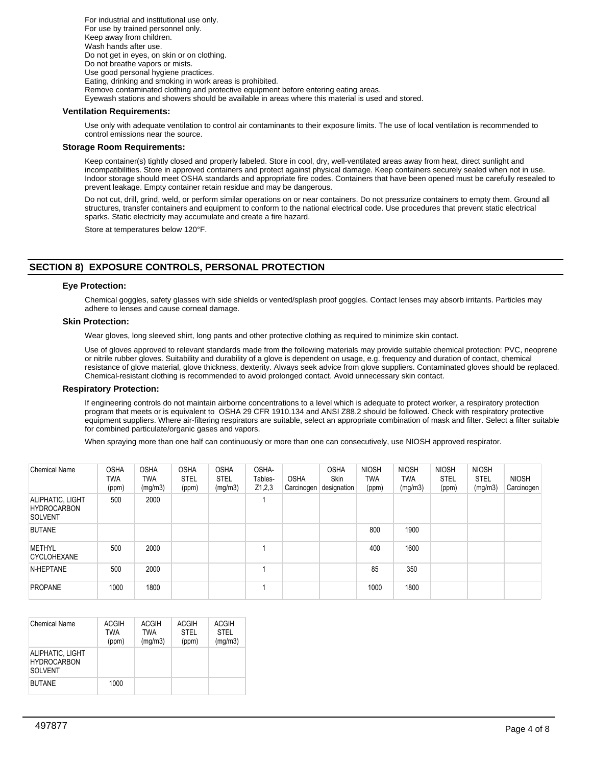For industrial and institutional use only. For use by trained personnel only. Keep away from children. Wash hands after use. Do not get in eyes, on skin or on clothing. Do not breathe vapors or mists. Use good personal hygiene practices. Eating, drinking and smoking in work areas is prohibited. Remove contaminated clothing and protective equipment before entering eating areas. Eyewash stations and showers should be available in areas where this material is used and stored.

### **Ventilation Requirements:**

Use only with adequate ventilation to control air contaminants to their exposure limits. The use of local ventilation is recommended to control emissions near the source.

### **Storage Room Requirements:**

Keep container(s) tightly closed and properly labeled. Store in cool, dry, well-ventilated areas away from heat, direct sunlight and incompatibilities. Store in approved containers and protect against physical damage. Keep containers securely sealed when not in use. Indoor storage should meet OSHA standards and appropriate fire codes. Containers that have been opened must be carefully resealed to prevent leakage. Empty container retain residue and may be dangerous.

Do not cut, drill, grind, weld, or perform similar operations on or near containers. Do not pressurize containers to empty them. Ground all structures, transfer containers and equipment to conform to the national electrical code. Use procedures that prevent static electrical sparks. Static electricity may accumulate and create a fire hazard.

Store at temperatures below 120°F.

# **SECTION 8) EXPOSURE CONTROLS, PERSONAL PROTECTION**

### **Eye Protection:**

Chemical goggles, safety glasses with side shields or vented/splash proof goggles. Contact lenses may absorb irritants. Particles may adhere to lenses and cause corneal damage.

### **Skin Protection:**

Wear gloves, long sleeved shirt, long pants and other protective clothing as required to minimize skin contact.

Use of gloves approved to relevant standards made from the following materials may provide suitable chemical protection: PVC, neoprene or nitrile rubber gloves. Suitability and durability of a glove is dependent on usage, e.g. frequency and duration of contact, chemical resistance of glove material, glove thickness, dexterity. Always seek advice from glove suppliers. Contaminated gloves should be replaced. Chemical-resistant clothing is recommended to avoid prolonged contact. Avoid unnecessary skin contact.

### **Respiratory Protection:**

If engineering controls do not maintain airborne concentrations to a level which is adequate to protect worker, a respiratory protection program that meets or is equivalent to OSHA 29 CFR 1910.134 and ANSI Z88.2 should be followed. Check with respiratory protective equipment suppliers. Where air-filtering respirators are suitable, select an appropriate combination of mask and filter. Select a filter suitable for combined particulate/organic gases and vapors.

When spraying more than one half can continuously or more than one can consecutively, use NIOSH approved respirator.

| <b>Chemical Name</b>                                     | <b>OSHA</b><br>TWA<br>(ppm) | <b>OSHA</b><br>TWA<br>(mg/m3) | <b>OSHA</b><br><b>STEL</b><br>(ppm) | <b>OSHA</b><br><b>STEL</b><br>(mg/m3) | OSHA-<br>Tables-<br>Z1,2,3 | <b>OSHA</b><br>Carcinogen | <b>OSHA</b><br><b>Skin</b><br>designation | <b>NIOSH</b><br>TWA<br>(ppm) | <b>NIOSH</b><br>TWA<br>(mg/m3) | <b>NIOSH</b><br><b>STEL</b><br>(ppm) | <b>NIOSH</b><br><b>STEL</b><br>(mg/m3) | <b>NIOSH</b><br>Carcinogen |
|----------------------------------------------------------|-----------------------------|-------------------------------|-------------------------------------|---------------------------------------|----------------------------|---------------------------|-------------------------------------------|------------------------------|--------------------------------|--------------------------------------|----------------------------------------|----------------------------|
| ALIPHATIC, LIGHT<br><b>HYDROCARBON</b><br><b>SOLVENT</b> | 500                         | 2000                          |                                     |                                       |                            |                           |                                           |                              |                                |                                      |                                        |                            |
| <b>BUTANE</b>                                            |                             |                               |                                     |                                       |                            |                           |                                           | 800                          | 1900                           |                                      |                                        |                            |
| <b>METHYL</b><br><b>CYCLOHEXANE</b>                      | 500                         | 2000                          |                                     |                                       |                            |                           |                                           | 400                          | 1600                           |                                      |                                        |                            |
| N-HEPTANE                                                | 500                         | 2000                          |                                     |                                       |                            |                           |                                           | 85                           | 350                            |                                      |                                        |                            |
| <b>PROPANE</b>                                           | 1000                        | 1800                          |                                     |                                       |                            |                           |                                           | 1000                         | 1800                           |                                      |                                        |                            |

| Chemical Name                                            | <b>ACGIH</b><br>TWA<br>(ppm) | <b>ACGIH</b><br>TWA<br>(mg/m3) | <b>ACGIH</b><br><b>STEL</b><br>(ppm) | ACGIH<br><b>STEL</b><br>(mg/m3) |
|----------------------------------------------------------|------------------------------|--------------------------------|--------------------------------------|---------------------------------|
| ALIPHATIC, LIGHT<br><b>HYDROCARBON</b><br><b>SOLVENT</b> |                              |                                |                                      |                                 |
| <b>BUTANE</b>                                            | 1000                         |                                |                                      |                                 |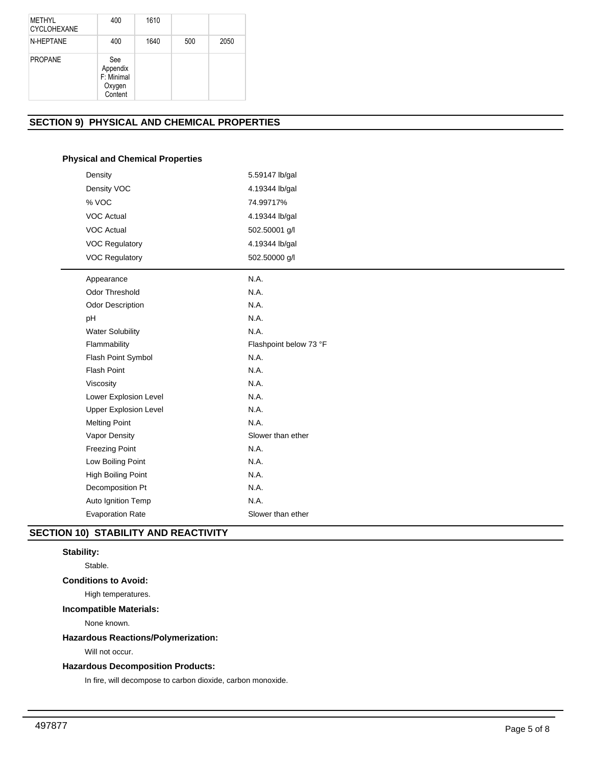| MFTHYI<br>CYCLOHEXANE | 400                                                | 1610 |     |      |
|-----------------------|----------------------------------------------------|------|-----|------|
| N-HEPTANE             | 400                                                | 1640 | 500 | 2050 |
| <b>PROPANE</b>        | See<br>Appendix<br>F: Minimal<br>Oxygen<br>Content |      |     |      |

# **SECTION 9) PHYSICAL AND CHEMICAL PROPERTIES**

# **Physical and Chemical Properties**

| Density                      | 5.59147 lb/gal         |
|------------------------------|------------------------|
| Density VOC                  | 4.19344 lb/gal         |
| % VOC                        | 74.99717%              |
| <b>VOC Actual</b>            | 4.19344 lb/gal         |
| <b>VOC Actual</b>            | 502.50001 g/l          |
| <b>VOC Regulatory</b>        | 4.19344 lb/gal         |
| <b>VOC Regulatory</b>        | 502.50000 g/l          |
| Appearance                   | N.A.                   |
| <b>Odor Threshold</b>        | N.A.                   |
| <b>Odor Description</b>      | N.A.                   |
| pH                           | N.A.                   |
| <b>Water Solubility</b>      | N.A.                   |
| Flammability                 | Flashpoint below 73 °F |
| Flash Point Symbol           | N.A.                   |
| <b>Flash Point</b>           | N.A.                   |
| Viscosity                    | N.A.                   |
| Lower Explosion Level        | N.A.                   |
| <b>Upper Explosion Level</b> | N.A.                   |
| <b>Melting Point</b>         | N.A.                   |
| Vapor Density                | Slower than ether      |
| <b>Freezing Point</b>        | N.A.                   |
| Low Boiling Point            | N.A.                   |
| <b>High Boiling Point</b>    | N.A.                   |
| Decomposition Pt             | N.A.                   |
| Auto Ignition Temp           | N.A.                   |
| <b>Evaporation Rate</b>      | Slower than ether      |
|                              |                        |

# **SECTION 10) STABILITY AND REACTIVITY**

# **Stability:**

Stable.

# **Conditions to Avoid:**

High temperatures.

# **Incompatible Materials:**

None known.

# **Hazardous Reactions/Polymerization:**

Will not occur.

# **Hazardous Decomposition Products:**

In fire, will decompose to carbon dioxide, carbon monoxide.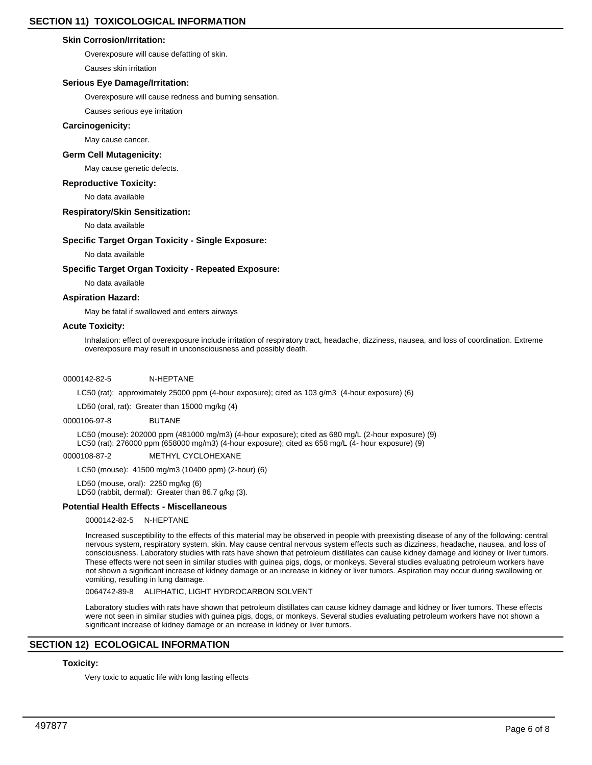### **Skin Corrosion/Irritation:**

Overexposure will cause defatting of skin.

Causes skin irritation

### **Serious Eye Damage/Irritation:**

Overexposure will cause redness and burning sensation.

Causes serious eye irritation

### **Carcinogenicity:**

May cause cancer.

# **Germ Cell Mutagenicity:**

May cause genetic defects.

### **Reproductive Toxicity:**

No data available

### **Respiratory/Skin Sensitization:**

No data available

### **Specific Target Organ Toxicity - Single Exposure:**

No data available

### **Specific Target Organ Toxicity - Repeated Exposure:**

No data available

### **Aspiration Hazard:**

May be fatal if swallowed and enters airways

### **Acute Toxicity:**

Inhalation: effect of overexposure include irritation of respiratory tract, headache, dizziness, nausea, and loss of coordination. Extreme overexposure may result in unconsciousness and possibly death.

### 0000142-82-5 N-HEPTANE

LC50 (rat): approximately 25000 ppm (4-hour exposure); cited as 103 g/m3 (4-hour exposure) (6)

LD50 (oral, rat): Greater than 15000 mg/kg (4)

### 0000106-97-8 BUTANE

LC50 (mouse): 202000 ppm (481000 mg/m3) (4-hour exposure); cited as 680 mg/L (2-hour exposure) (9) LC50 (rat): 276000 ppm (658000 mg/m3) (4-hour exposure); cited as 658 mg/L (4- hour exposure) (9)

### 0000108-87-2 METHYL CYCLOHEXANE

LC50 (mouse): 41500 mg/m3 (10400 ppm) (2-hour) (6)

LD50 (mouse, oral): 2250 mg/kg (6)

LD50 (rabbit, dermal): Greater than 86.7 g/kg (3).

### **Potential Health Effects - Miscellaneous**

### 0000142-82-5 N-HEPTANE

Increased susceptibility to the effects of this material may be observed in people with preexisting disease of any of the following: central nervous system, respiratory system, skin. May cause central nervous system effects such as dizziness, headache, nausea, and loss of consciousness. Laboratory studies with rats have shown that petroleum distillates can cause kidney damage and kidney or liver tumors. These effects were not seen in similar studies with guinea pigs, dogs, or monkeys. Several studies evaluating petroleum workers have not shown a significant increase of kidney damage or an increase in kidney or liver tumors. Aspiration may occur during swallowing or vomiting, resulting in lung damage.

### 0064742-89-8 ALIPHATIC, LIGHT HYDROCARBON SOLVENT

Laboratory studies with rats have shown that petroleum distillates can cause kidney damage and kidney or liver tumors. These effects were not seen in similar studies with guinea pigs, dogs, or monkeys. Several studies evaluating petroleum workers have not shown a significant increase of kidney damage or an increase in kidney or liver tumors.

### **SECTION 12) ECOLOGICAL INFORMATION**

# **Toxicity:**

Very toxic to aquatic life with long lasting effects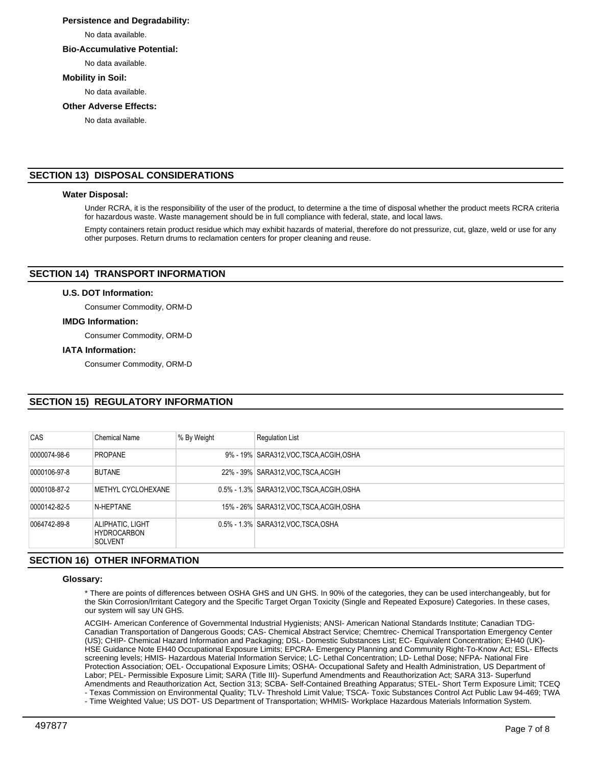### **Persistence and Degradability:**

No data available.

### **Bio-Accumulative Potential:**

No data available.

### **Mobility in Soil:**

No data available.

### **Other Adverse Effects:**

No data available.

# **SECTION 13) DISPOSAL CONSIDERATIONS**

### **Water Disposal:**

Under RCRA, it is the responsibility of the user of the product, to determine a the time of disposal whether the product meets RCRA criteria for hazardous waste. Waste management should be in full compliance with federal, state, and local laws.

Empty containers retain product residue which may exhibit hazards of material, therefore do not pressurize, cut, glaze, weld or use for any other purposes. Return drums to reclamation centers for proper cleaning and reuse.

# **SECTION 14) TRANSPORT INFORMATION**

### **U.S. DOT Information:**

Consumer Commodity, ORM-D

### **IMDG Information:**

Consumer Commodity, ORM-D

### **IATA Information:**

Consumer Commodity, ORM-D

# **SECTION 15) REGULATORY INFORMATION**

| CAS          | Chemical Name                                            | % By Weight | <b>Regulation List</b>                     |
|--------------|----------------------------------------------------------|-------------|--------------------------------------------|
| 0000074-98-6 | <b>PROPANE</b>                                           |             | 9% - 19% SARA312, VOC, TSCA, ACGIH, OSHA   |
| 0000106-97-8 | <b>BUTANE</b>                                            |             | 22% - 39% SARA312, VOC TSCA, ACGIH         |
| 0000108-87-2 | <b>METHYL CYCLOHEXANE</b>                                |             | 0.5% - 1.3% SARA312, VOC TSCA, ACGIH, OSHA |
| 0000142-82-5 | N-HEPTANE                                                |             | 15% - 26% SARA312, VOC TSCA, ACGIH, OSHA   |
| 0064742-89-8 | ALIPHATIC, LIGHT<br><b>HYDROCARBON</b><br><b>SOLVENT</b> |             | 0.5% - 1.3% SARA312, VOC TSCA, OSHA        |
|              |                                                          |             |                                            |

### **SECTION 16) OTHER INFORMATION**

### **Glossary:**

\* There are points of differences between OSHA GHS and UN GHS. In 90% of the categories, they can be used interchangeably, but for the Skin Corrosion/Irritant Category and the Specific Target Organ Toxicity (Single and Repeated Exposure) Categories. In these cases, our system will say UN GHS.

ACGIH- American Conference of Governmental Industrial Hygienists; ANSI- American National Standards Institute; Canadian TDG-Canadian Transportation of Dangerous Goods; CAS- Chemical Abstract Service; Chemtrec- Chemical Transportation Emergency Center (US); CHIP- Chemical Hazard Information and Packaging; DSL- Domestic Substances List; EC- Equivalent Concentration; EH40 (UK)- HSE Guidance Note EH40 Occupational Exposure Limits; EPCRA- Emergency Planning and Community Right-To-Know Act; ESL- Effects screening levels; HMIS- Hazardous Material Information Service; LC- Lethal Concentration; LD- Lethal Dose; NFPA- National Fire Protection Association; OEL- Occupational Exposure Limits; OSHA- Occupational Safety and Health Administration, US Department of Labor; PEL- Permissible Exposure Limit; SARA (Title III)- Superfund Amendments and Reauthorization Act; SARA 313- Superfund Amendments and Reauthorization Act, Section 313; SCBA- Self-Contained Breathing Apparatus; STEL- Short Term Exposure Limit; TCEQ - Texas Commission on Environmental Quality; TLV- Threshold Limit Value; TSCA- Toxic Substances Control Act Public Law 94-469; TWA

- Time Weighted Value; US DOT- US Department of Transportation; WHMIS- Workplace Hazardous Materials Information System.